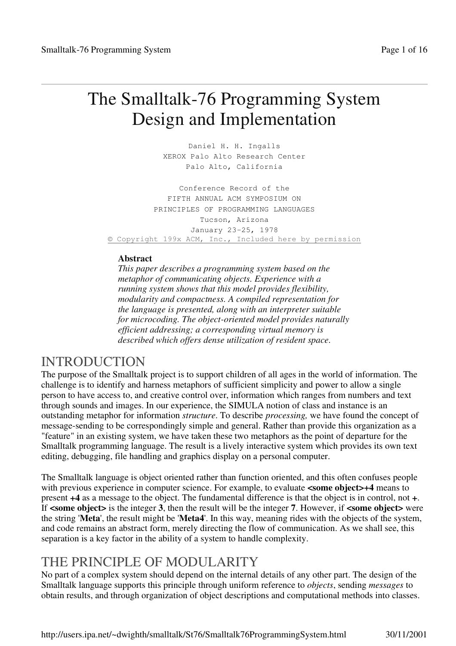# The Smalltalk-76 Programming System Design and Implementation

Daniel H. H. Ingalls XEROX Palo Alto Research Center Palo Alto, California

Conference Record of the FIFTH ANNUAL ACM SYMPOSIUM ON PRINCIPLES OF PROGRAMMING LANGUAGES Tucson, Arizona January 23-25, 1978 © Copyright 199x ACM, Inc., Included here by permission

### **Abstract**

*This paper describes a programming system based on the metaphor of communicating objects. Experience with a running system shows that this model provides flexibility, modularity and compactness. A compiled representation for the language is presented, along with an interpreter suitable for microcoding. The object-oriented model provides naturally efficient addressing; a corresponding virtual memory is described which offers dense utilization of resident space.*

## INTRODUCTION

The purpose of the Smalltalk project is to support children of all ages in the world of information. The challenge is to identify and harness metaphors of sufficient simplicity and power to allow a single person to have access to, and creative control over, information which ranges from numbers and text through sounds and images. In our experience, the SIMULA notion of class and instance is an outstanding metaphor for information *structure*. To describe *processing,* we have found the concept of message-sending to be correspondingly simple and general. Rather than provide this organization as a "feature" in an existing system, we have taken these two metaphors as the point of departure for the Smalltalk programming language. The result is a lively interactive system which provides its own text editing, debugging, file handling and graphics display on a personal computer.

The Smalltalk language is object oriented rather than function oriented, and this often confuses people with previous experience in computer science. For example, to evaluate **<some object>+4** means to present **+4** as a message to the object. The fundamental difference is that the object is in control, not **+**. If **<some object>** is the integer **3**, then the result will be the integer **7**. However, if **<some object>** were the string '**Meta**', the result might be '**Meta4**'. In this way, meaning rides with the objects of the system, and code remains an abstract form, merely directing the flow of communication. As we shall see, this separation is a key factor in the ability of a system to handle complexity.

## THE PRINCIPLE OF MODULARITY

No part of a complex system should depend on the internal details of any other part. The design of the Smalltalk language supports this principle through uniform reference to *objects*, sending *messages* to obtain results, and through organization of object descriptions and computational methods into classes.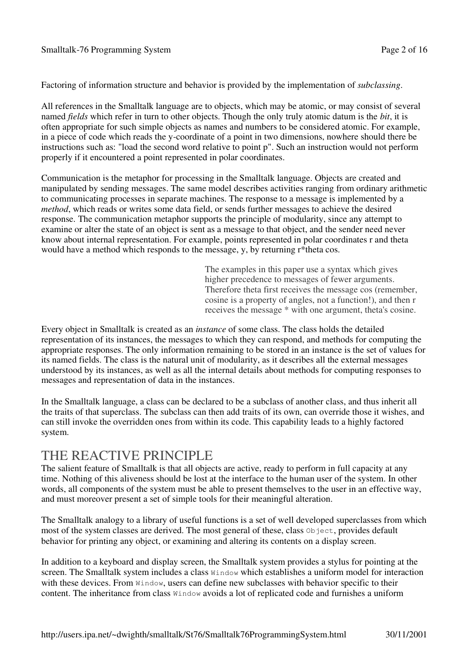Factoring of information structure and behavior is provided by the implementation of *subclassing*.

All references in the Smalltalk language are to objects, which may be atomic, or may consist of several named *fields* which refer in turn to other objects. Though the only truly atomic datum is the *bit*, it is often appropriate for such simple objects as names and numbers to be considered atomic. For example, in a piece of code which reads the y-coordinate of a point in two dimensions, nowhere should there be instructions such as: "load the second word relative to point p". Such an instruction would not perform properly if it encountered a point represented in polar coordinates.

Communication is the metaphor for processing in the Smalltalk language. Objects are created and manipulated by sending messages. The same model describes activities ranging from ordinary arithmetic to communicating processes in separate machines. The response to a message is implemented by a *method*, which reads or writes some data field, or sends further messages to achieve the desired response. The communication metaphor supports the principle of modularity, since any attempt to examine or alter the state of an object is sent as a message to that object, and the sender need never know about internal representation. For example, points represented in polar coordinates r and theta would have a method which responds to the message, y, by returning r\*theta cos.

> The examples in this paper use a syntax which gives higher precedence to messages of fewer arguments. Therefore theta first receives the message cos (remember, cosine is a property of angles, not a function!), and then r receives the message \* with one argument, theta's cosine.

Every object in Smalltalk is created as an *instance* of some class. The class holds the detailed representation of its instances, the messages to which they can respond, and methods for computing the appropriate responses. The only information remaining to be stored in an instance is the set of values for its named fields. The class is the natural unit of modularity, as it describes all the external messages understood by its instances, as well as all the internal details about methods for computing responses to messages and representation of data in the instances.

In the Smalltalk language, a class can be declared to be a subclass of another class, and thus inherit all the traits of that superclass. The subclass can then add traits of its own, can override those it wishes, and can still invoke the overridden ones from within its code. This capability leads to a highly factored system.

## THE REACTIVE PRINCIPLE

The salient feature of Smalltalk is that all objects are active, ready to perform in full capacity at any time. Nothing of this aliveness should be lost at the interface to the human user of the system. In other words, all components of the system must be able to present themselves to the user in an effective way, and must moreover present a set of simple tools for their meaningful alteration.

The Smalltalk analogy to a library of useful functions is a set of well developed superclasses from which most of the system classes are derived. The most general of these, class  $\circ$ bject, provides default behavior for printing any object, or examining and altering its contents on a display screen.

In addition to a keyboard and display screen, the Smalltalk system provides a stylus for pointing at the screen. The Smalltalk system includes a class Window which establishes a uniform model for interaction with these devices. From Window, users can define new subclasses with behavior specific to their content. The inheritance from class Window avoids a lot of replicated code and furnishes a uniform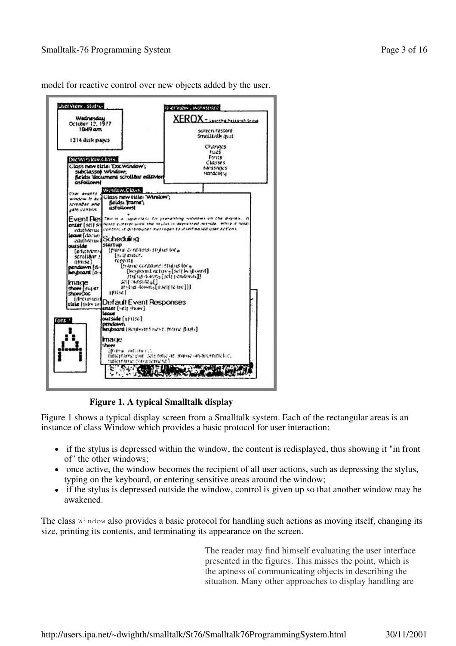

model for reactive control over new objects added by the user.

**Figure 1. A typical Smalltalk display**

Figure 1 shows a typical display screen from a Smalltalk system. Each of the rectangular areas is an instance of class Window which provides a basic protocol for user interaction:

- if the stylus is depressed within the window, the content is redisplayed, thus showing it "in front of" the other windows;
- once active, the window becomes the recipient of all user actions, such as depressing the stylus, typing on the keyboard, or entering sensitive areas around the window;
- if the stylus is depressed outside the window, control is given up so that another window may be awakened.

The class Window also provides a basic protocol for handling such actions as moving itself, changing its size, printing its contents, and terminating its appearance on the screen.

> The reader may find himself evaluating the user interface presented in the figures. This misses the point, which is the aptness of communicating objects in describing the situation. Many other approaches to display handling are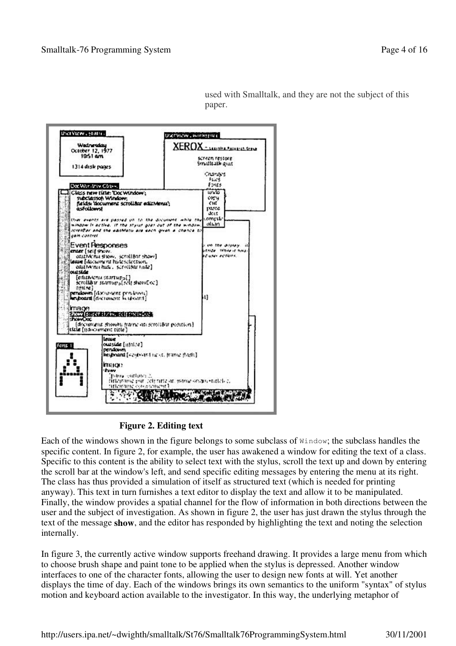

used with Smalltalk, and they are not the subject of this paper.

**Figure 2. Editing text**

Each of the windows shown in the figure belongs to some subclass of Window; the subclass handles the specific content. In figure 2, for example, the user has awakened a window for editing the text of a class. Specific to this content is the ability to select text with the stylus, scroll the text up and down by entering the scroll bar at the window's left, and send specific editing messages by entering the menu at its right. The class has thus provided a simulation of itself as structured text (which is needed for printing anyway). This text in turn furnishes a text editor to display the text and allow it to be manipulated. Finally, the window provides a spatial channel for the flow of information in both directions between the user and the subject of investigation. As shown in figure 2, the user has just drawn the stylus through the text of the message **show**, and the editor has responded by highlighting the text and noting the selection internally.

In figure 3, the currently active window supports freehand drawing. It provides a large menu from which to choose brush shape and paint tone to be applied when the stylus is depressed. Another window interfaces to one of the character fonts, allowing the user to design new fonts at will. Yet another displays the time of day. Each of the windows brings its own semantics to the uniform "syntax" of stylus motion and keyboard action available to the investigator. In this way, the underlying metaphor of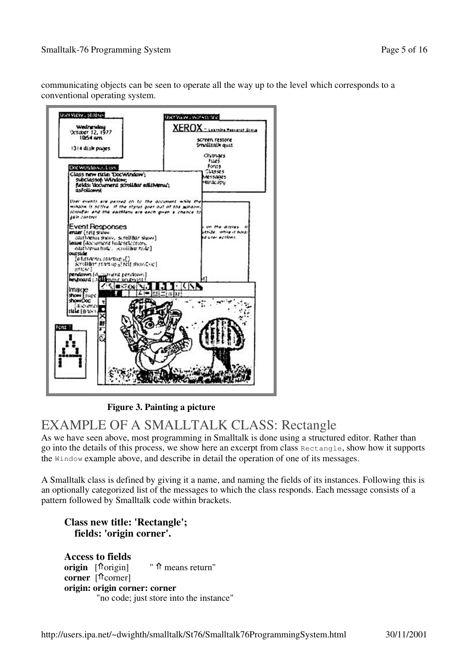communicating objects can be seen to operate all the way up to the level which corresponds to a conventional operating system.



**Figure 3. Painting a picture**

## EXAMPLE OF A SMALLTALK CLASS: Rectangle

As we have seen above, most programming in Smalltalk is done using a structured editor. Rather than go into the details of this process, we show here an excerpt from class Rectangle, show how it supports the Window example above, and describe in detail the operation of one of its messages.

A Smalltalk class is defined by giving it a name, and naming the fields of its instances. Following this is an optionally categorized list of the messages to which the class responds. Each message consists of a pattern followed by Smalltalk code within brackets.

## **Class new title: 'Rectangle'; fields: 'origin corner'.**

**Access to fields origin**  $[\hat{\text{Torigin}}]$  "  $\hat{\text{Im}}$  means return" **corner** [<sup> $\Uparrow$ </sup>corner] **origin: origin corner: corner** "no code; just store into the instance"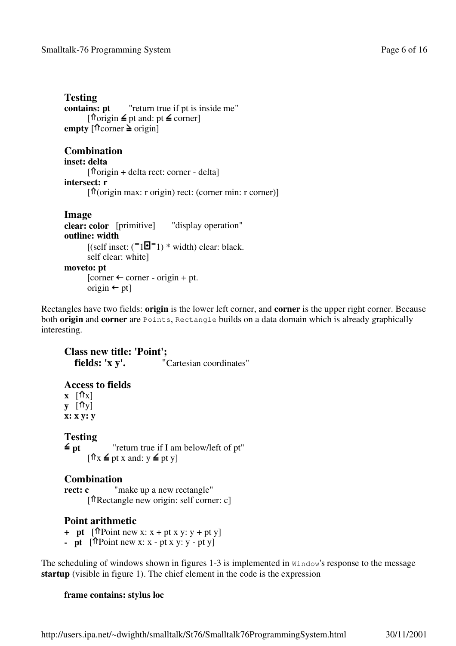```
Testing
contains: pt "return true if pt is inside me"
         \lceil \text{horigin} \leq \text{pt} \text{ and: pt} \leq \text{corner}]
empty \lceil \hat{\pi} \rceilcorner \geq origin
```
### **Combination**

```
inset: delta
        \int \hat{\pi}origin + delta rect: corner - delta]
intersect: r
         [\{ \text{for } \text{sign} \text{ max}: \text{r origin} \} rect: (corner min: r corner)]
```
### **Image**

```
clear: color [primitive] "display operation"
outline: width
       [(self inset: (\blacksquare\blacksquare\blacksquare] * width) clear: black.
       self clear: white]
moveto: pt
       [corner \leftarrow corner - origin + pt.origin \leftarrow pt]
```
Rectangles have two fields: **origin** is the lower left corner, and **corner** is the upper right corner. Because both **origin** and **corner** are Points, Rectangle builds on a data domain which is already graphically interesting.

**Class new title: 'Point'; fields: 'x y'.** "Cartesian coordinates" **Access to fields**  $\mathbf{x}$   $[\hat{\mathbb{T}} \times]$ **y**  $[\hat{\mathbf{T}}\mathbf{y}]$ **x: x y: y** Testing<br> $\leq$ <sub>pt</sub> "return true if I am below/left of pt"  $\lceil \mathbf{\hat{n}} \rceil$   $\leq$  pt x and:  $y \leq$  pt y] **Combination** "make up a new rectangle" [ Rectangle new origin: self corner: c]

### **Point arithmetic**

- + **pt**  $[\hat{\mathsf{T}}$  Point new x:  $x + pt \times y$ :  $y + pt \times y$ ]
- **- pt**  $[\hat{\pi}$  Point new x: x pt x y: y pt y]

The scheduling of windows shown in figures 1-3 is implemented in Window's response to the message **startup** (visible in figure 1). The chief element in the code is the expression

### **frame contains: stylus loc**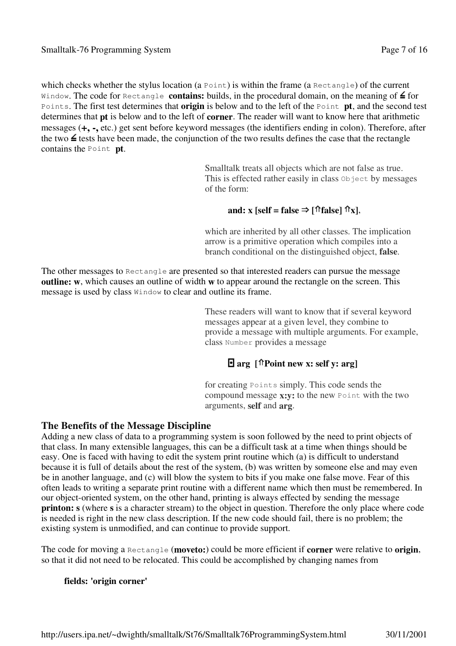which checks whether the stylus location (a Point) is within the frame (a Rectangle) of the current Window. The code for Rectangle **contains:** builds, in the procedural domain, on the meaning of  $\leq$  for Points. The first test determines that **origin** is below and to the left of the Point **pt**, and the second test determines that **pt** is below and to the left of **corner**. The reader will want to know here that arithmetic messages (**+, -,** etc.) get sent before keyword messages (the identifiers ending in colon). Therefore, after the two  $\leq$  tests have been made, the conjunction of the two results defines the case that the rectangle contains the Point **pt**.

> Smalltalk treats all objects which are not false as true. This is effected rather easily in class object by messages of the form:

### **and: x** [self = **false**  $\Rightarrow$   $\lceil \hat{\text{T}} \rceil$ **false**]  $\hat{\text{T}}$ **x**],

which are inherited by all other classes. The implication arrow is a primitive operation which compiles into a branch conditional on the distinguished object, **false**.

The other messages to Rectangle are presented so that interested readers can pursue the message **outline: w**, which causes an outline of width **w** to appear around the rectangle on the screen. This message is used by class Window to clear and outline its frame.

> These readers will want to know that if several keyword messages appear at a given level, they combine to provide a message with multiple arguments. For example, class Number provides a message

### **arg [ Point new x: self y: arg]**

for creating Points simply. This code sends the compound message **x:y:** to the new Point with the two arguments, **self** and **arg**.

### **The Benefits of the Message Discipline**

Adding a new class of data to a programming system is soon followed by the need to print objects of that class. In many extensible languages, this can be a difficult task at a time when things should be easy. One is faced with having to edit the system print routine which (a) is difficult to understand because it is full of details about the rest of the system, (b) was written by someone else and may even be in another language, and (c) will blow the system to bits if you make one false move. Fear of this often leads to writing a separate print routine with a different name which then must be remembered. In our object-oriented system, on the other hand, printing is always effected by sending the message **printon: s** (where **s** is a character stream) to the object in question. Therefore the only place where code is needed is right in the new class description. If the new code should fail, there is no problem; the existing system is unmodified, and can continue to provide support.

The code for moving a Rectangle (**moveto:**) could be more efficient if **corner** were relative to **origin**, so that it did not need to be relocated. This could be accomplished by changing names from

### **fields: 'origin corner'**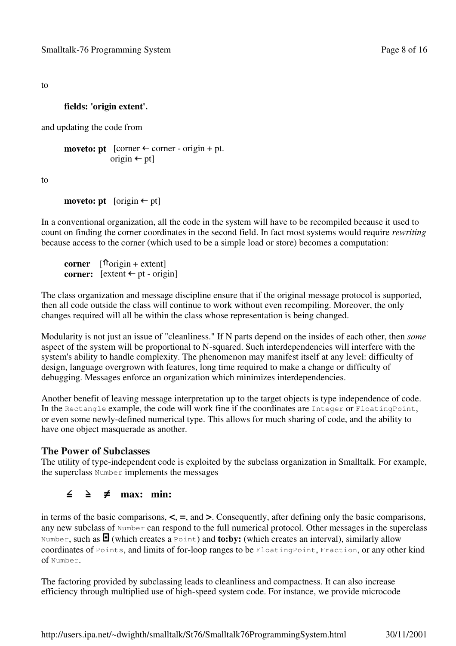to

### **fields: 'origin extent'**,

and updating the code from

```
moveto: pt \phi [corner \leftrightarrow corner - origin + pt.
                  origin \leftarrow pt]
```
to

```
moveto: pt [origin \leftarrow pt]
```
In a conventional organization, all the code in the system will have to be recompiled because it used to count on finding the corner coordinates in the second field. In fact most systems would require *rewriting* because access to the corner (which used to be a simple load or store) becomes a computation:

**corner**  $[\text{Torigin} + \text{extend}]$ **corner:**  $\left[ \text{extent} \leftarrow \text{pt} \text{ - origin} \right]$ 

The class organization and message discipline ensure that if the original message protocol is supported, then all code outside the class will continue to work without even recompiling. Moreover, the only changes required will all be within the class whose representation is being changed.

Modularity is not just an issue of "cleanliness." If N parts depend on the insides of each other, then *some* aspect of the system will be proportional to N-squared. Such interdependencies will interfere with the system's ability to handle complexity. The phenomenon may manifest itself at any level: difficulty of design, language overgrown with features, long time required to make a change or difficulty of debugging. Messages enforce an organization which minimizes interdependencies.

Another benefit of leaving message interpretation up to the target objects is type independence of code. In the Rectangle example, the code will work fine if the coordinates are Integer or FloatingPoint, or even some newly-defined numerical type. This allows for much sharing of code, and the ability to have one object masquerade as another.

### **The Power of Subclasses**

The utility of type-independent code is exploited by the subclass organization in Smalltalk. For example, the superclass Number implements the messages

### ∠ ₹ **max: min:**

in terms of the basic comparisons, **<**, **=**, and **>**. Consequently, after defining only the basic comparisons, any new subclass of Number can respond to the full numerical protocol. Other messages in the superclass Number, such as  $\blacksquare$  (which creates a Point) and **to:by:** (which creates an interval), similarly allow coordinates of Points, and limits of for-loop ranges to be FloatingPoint, Fraction, or any other kind of Number.

The factoring provided by subclassing leads to cleanliness and compactness. It can also increase efficiency through multiplied use of high-speed system code. For instance, we provide microcode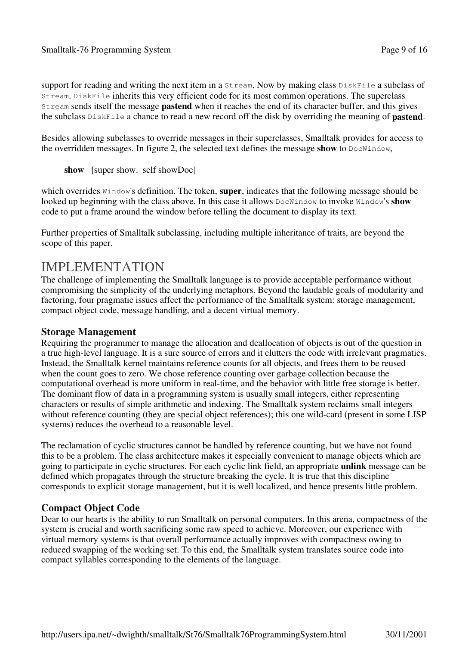support for reading and writing the next item in a Stream. Now by making class DiskFile a subclass of Stream. DiskFile inherits this very efficient code for its most common operations. The superclass Stream sends itself the message **pastend** when it reaches the end of its character buffer, and this gives the subclass DiskFile a chance to read a new record off the disk by overriding the meaning of **pastend**.

Besides allowing subclasses to override messages in their superclasses, Smalltalk provides for access to the overridden messages. In figure 2, the selected text defines the message **show** to DocWindow,

**show** [super show. self showDoc]

which overrides Window's definition. The token, **super**, indicates that the following message should be looked up beginning with the class above. In this case it allows  $DocWindow$  to invoke Window's **show** code to put a frame around the window before telling the document to display its text.

Further properties of Smalltalk subclassing, including multiple inheritance of traits, are beyond the scope of this paper.

## IMPLEMENTATION

The challenge of implementing the Smalltalk language is to provide acceptable performance without compromising the simplicity of the underlying metaphors. Beyond the laudable goals of modularity and factoring, four pragmatic issues affect the performance of the Smalltalk system: storage management, compact object code, message handling, and a decent virtual memory.

### **Storage Management**

Requiring the programmer to manage the allocation and deallocation of objects is out of the question in a true high-level language. It is a sure source of errors and it clutters the code with irrelevant pragmatics. Instead, the Smalltalk kernel maintains reference counts for all objects, and frees them to be reused when the count goes to zero. We chose reference counting over garbage collection because the computational overhead is more uniform in real-time, and the behavior with little free storage is better. The dominant flow of data in a programming system is usually small integers, either representing characters or results of simple arithmetic and indexing. The Smalltalk system reclaims small integers without reference counting (they are special object references); this one wild-card (present in some LISP systems) reduces the overhead to a reasonable level.

The reclamation of cyclic structures cannot be handled by reference counting, but we have not found this to be a problem. The class architecture makes it especially convenient to manage objects which are going to participate in cyclic structures. For each cyclic link field, an appropriate **unlink** message can be defined which propagates through the structure breaking the cycle. It is true that this discipline corresponds to explicit storage management, but it is well localized, and hence presents little problem.

### **Compact Object Code**

Dear to our hearts is the ability to run Smalltalk on personal computers. In this arena, compactness of the system is crucial and worth sacrificing some raw speed to achieve. Moreover, our experience with virtual memory systems is that overall performance actually improves with compactness owing to reduced swapping of the working set. To this end, the Smalltalk system translates source code into compact syllables corresponding to the elements of the language.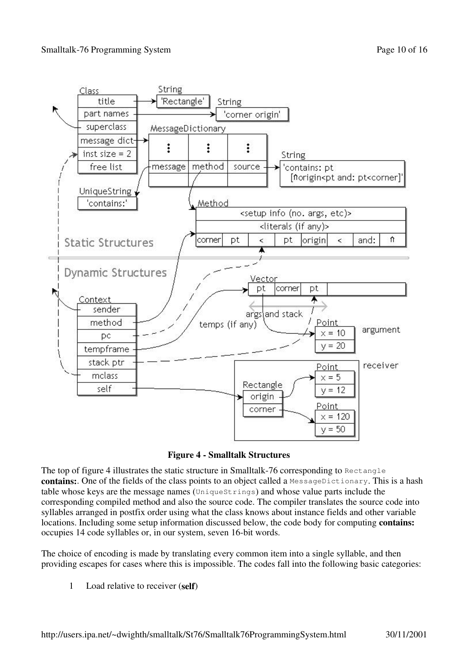



The top of figure 4 illustrates the static structure in Smalltalk-76 corresponding to Rectangle **contains:** One of the fields of the class points to an object called a MessageDictionary. This is a hash table whose keys are the message names (UniqueStrings) and whose value parts include the corresponding compiled method and also the source code. The compiler translates the source code into syllables arranged in postfix order using what the class knows about instance fields and other variable locations. Including some setup information discussed below, the code body for computing **contains:** occupies 14 code syllables or, in our system, seven 16-bit words.

The choice of encoding is made by translating every common item into a single syllable, and then providing escapes for cases where this is impossible. The codes fall into the following basic categories:

1 Load relative to receiver (**self**)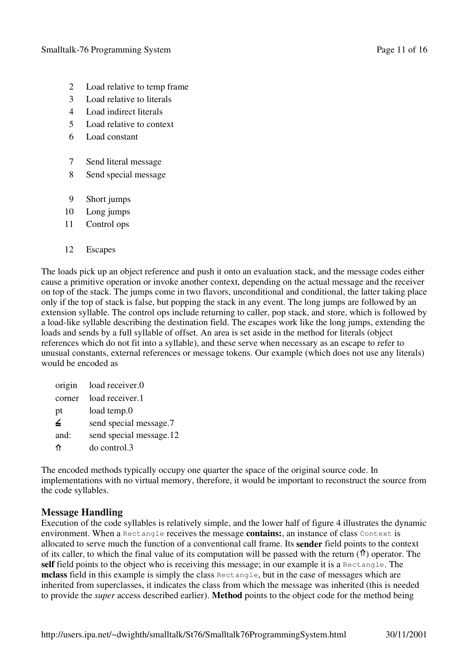- 2 Load relative to temp frame
- 3 Load relative to literals
- 4 Load indirect literals
- 5 Load relative to context
- 6 Load constant
- 7 Send literal message
- 8 Send special message
- 9 Short jumps
- 10 Long jumps
- 11 Control ops
- 12 Escapes

The loads pick up an object reference and push it onto an evaluation stack, and the message codes either cause a primitive operation or invoke another context, depending on the actual message and the receiver on top of the stack. The jumps come in two flavors, unconditional and conditional, the latter taking place only if the top of stack is false, but popping the stack in any event. The long jumps are followed by an extension syllable. The control ops include returning to caller, pop stack, and store, which is followed by a load-like syllable describing the destination field. The escapes work like the long jumps, extending the loads and sends by a full syllable of offset. An area is set aside in the method for literals (object references which do not fit into a syllable), and these serve when necessary as an escape to refer to unusual constants, external references or message tokens. Our example (which does not use any literals) would be encoded as

|        | origin load receiver.0  |
|--------|-------------------------|
| corner | load receiver.1         |
| pt     | load temp.0             |
| ∠      | send special message.7  |
| and:   | send special message.12 |
| ⇑      | do control.3            |

The encoded methods typically occupy one quarter the space of the original source code. In implementations with no virtual memory, therefore, it would be important to reconstruct the source from the code syllables.

### **Message Handling**

Execution of the code syllables is relatively simple, and the lower half of figure 4 illustrates the dynamic environment. When a Rectangle receives the message **contains:**, an instance of class Context is allocated to serve much the function of a conventional call frame. Its **sender** field points to the context of its caller, to which the final value of its computation will be passed with the return  $(\hat{\bf T})$  operator. The **self** field points to the object who is receiving this message; in our example it is a Rectangle. The **mclass** field in this example is simply the class Rectangle, but in the case of messages which are inherited from superclasses, it indicates the class from which the message was inherited (this is needed to provide the *super* access described earlier). **Method** points to the object code for the method being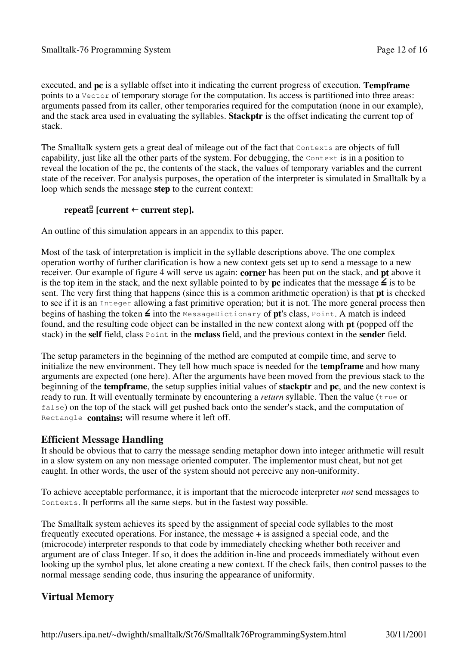executed, and **pc** is a syllable offset into it indicating the current progress of execution. **Tempframe** points to a Vector of temporary storage for the computation. Its access is partitioned into three areas: arguments passed from its caller, other temporaries required for the computation (none in our example), and the stack area used in evaluating the syllables. **Stackptr** is the offset indicating the current top of stack.

The Smalltalk system gets a great deal of mileage out of the fact that Contexts are objects of full capability, just like all the other parts of the system. For debugging, the Context is in a position to reveal the location of the pc, the contents of the stack, the values of temporary variables and the current state of the receiver. For analysis purposes, the operation of the interpreter is simulated in Smalltalk by a loop which sends the message **step** to the current context:

### **repeat**  $[current \leftarrow current step].$

An outline of this simulation appears in an appendix to this paper.

Most of the task of interpretation is implicit in the syllable descriptions above. The one complex operation worthy of further clarification is how a new context gets set up to send a message to a new receiver. Our example of figure 4 will serve us again: **corner** has been put on the stack, and **pt** above it is the top item in the stack, and the next syllable pointed to by **pc** indicates that the message  $\leq$  is to be sent. The very first thing that happens (since this is a common arithmetic operation) is that **pt** is checked to see if it is an Integer allowing a fast primitive operation; but it is not. The more general process then begins of hashing the token  $\leq$  into the MessageDictionary of **pt**'s class, Point. A match is indeed found, and the resulting code object can be installed in the new context along with **pt** (popped off the stack) in the **self** field, class Point in the **mclass** field, and the previous context in the **sender** field.

The setup parameters in the beginning of the method are computed at compile time, and serve to initialize the new environment. They tell how much space is needed for the **tempframe** and how many arguments are expected (one here). After the arguments have been moved from the previous stack to the beginning of the **tempframe**, the setup supplies initial values of **stackptr** and **pc**, and the new context is ready to run. It will eventually terminate by encountering a *return* syllable. Then the value (true or false) on the top of the stack will get pushed back onto the sender's stack, and the computation of Rectangle **contains:** will resume where it left off.

### **Efficient Message Handling**

It should be obvious that to carry the message sending metaphor down into integer arithmetic will result in a slow system on any non message oriented computer. The implementor must cheat, but not get caught. In other words, the user of the system should not perceive any non-uniformity.

To achieve acceptable performance, it is important that the microcode interpreter *not* send messages to Contexts. It performs all the same steps. but in the fastest way possible.

The Smalltalk system achieves its speed by the assignment of special code syllables to the most frequently executed operations. For instance, the message **+** is assigned a special code, and the (microcode) interpreter responds to that code by immediately checking whether both receiver and argument are of class Integer. If so, it does the addition in-line and proceeds immediately without even looking up the symbol plus, let alone creating a new context. If the check fails, then control passes to the normal message sending code, thus insuring the appearance of uniformity.

### **Virtual Memory**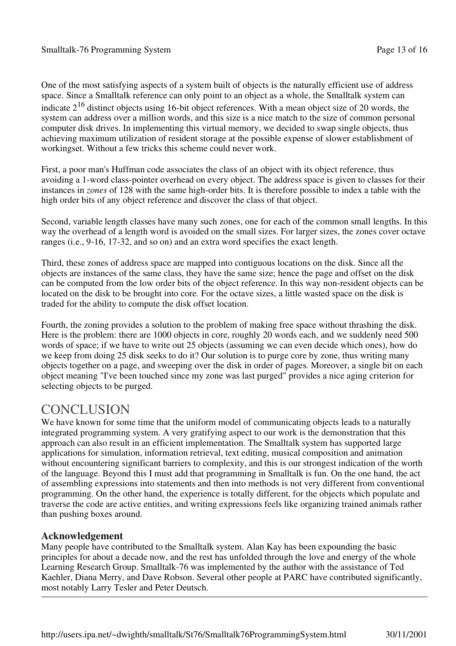One of the most satisfying aspects of a system built of objects is the naturally efficient use of address space. Since a Smalltalk reference can only point to an object as a whole, the Smalltalk system can indicate  $2^{16}$  distinct objects using 16-bit object references. With a mean object size of 20 words, the system can address over a million words, and this size is a nice match to the size of common personal computer disk drives. In implementing this virtual memory, we decided to swap single objects, thus achieving maximum utilization of resident storage at the possible expense of slower establishment of workingset. Without a few tricks this scheme could never work.

First, a poor man's Huffman code associates the class of an object with its object reference, thus avoiding a 1-word class-pointer overhead on every object. The address space is given to classes for their instances in *zones* of 128 with the same high-order bits. It is therefore possible to index a table with the high order bits of any object reference and discover the class of that object.

Second, variable length classes have many such zones, one for each of the common small lengths. In this way the overhead of a length word is avoided on the small sizes. For larger sizes, the zones cover octave ranges (i.e., 9-16, 17-32, and so on) and an extra word specifies the exact length.

Third, these zones of address space are mapped into contiguous locations on the disk. Since all the objects are instances of the same class, they have the same size; hence the page and offset on the disk can be computed from the low order bits of the object reference. In this way non-resident objects can be located on the disk to be brought into core. For the octave sizes, a little wasted space on the disk is traded for the ability to compute the disk offset location.

Fourth, the zoning provides a solution to the problem of making free space without thrashing the disk. Here is the problem: there are 1000 objects in core, roughly 20 words each, and we suddenly need 500 words of space; if we have to write out 25 objects (assuming we can even decide which ones), how do we keep from doing 25 disk seeks to do it? Our solution is to purge core by zone, thus writing many objects together on a page, and sweeping over the disk in order of pages. Moreover, a single bit on each object meaning "I've been touched since my zone was last purged" provides a nice aging criterion for selecting objects to be purged.

## **CONCLUSION**

We have known for some time that the uniform model of communicating objects leads to a naturally integrated programming system. A very gratifying aspect to our work is the demonstration that this approach can also result in an efficient implementation. The Smalltalk system has supported large applications for simulation, information retrieval, text editing, musical composition and animation without encountering significant barriers to complexity, and this is our strongest indication of the worth of the language. Beyond this I must add that programming in Smalltalk is fun. On the one hand, the act of assembling expressions into statements and then into methods is not very different from conventional programming. On the other hand, the experience is totally different, for the objects which populate and traverse the code are active entities, and writing expressions feels like organizing trained animals rather than pushing boxes around.

### **Acknowledgement**

Many people have contributed to the Smalltalk system. Alan Kay has been expounding the basic principles for about a decade now, and the rest has unfolded through the love and energy of the whole Learning Research Group. Smalltalk-76 was implemented by the author with the assistance of Ted Kaehler, Diana Merry, and Dave Robson. Several other people at PARC have contributed significantly, most notably Larry Tesler and Peter Deutsch.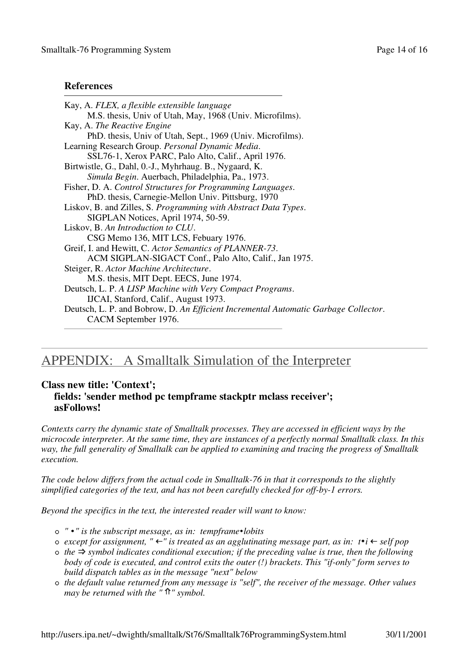### **References**

| Kay, A. FLEX, a flexible extensible language                                        |  |
|-------------------------------------------------------------------------------------|--|
| M.S. thesis, Univ of Utah, May, 1968 (Univ. Microfilms).                            |  |
| Kay, A. The Reactive Engine                                                         |  |
| PhD. thesis, Univ of Utah, Sept., 1969 (Univ. Microfilms).                          |  |
| Learning Research Group. Personal Dynamic Media.                                    |  |
| SSL76-1, Xerox PARC, Palo Alto, Calif., April 1976.                                 |  |
| Birtwistle, G., Dahl, O.-J., Myhrhaug. B., Nygaard, K.                              |  |
| Simula Begin. Auerbach, Philadelphia, Pa., 1973.                                    |  |
| Fisher, D. A. Control Structures for Programming Languages.                         |  |
| PhD. thesis, Carnegie-Mellon Univ. Pittsburg, 1970                                  |  |
| Liskov, B. and Zilles, S. Programming with Abstract Data Types.                     |  |
| SIGPLAN Notices, April 1974, 50-59.                                                 |  |
| Liskov, B. An Introduction to CLU.                                                  |  |
| CSG Memo 136, MIT LCS, Febuary 1976.                                                |  |
| Greif, I. and Hewitt, C. Actor Semantics of PLANNER-73.                             |  |
| ACM SIGPLAN-SIGACT Conf., Palo Alto, Calif., Jan 1975.                              |  |
| Steiger, R. Actor Machine Architecture.                                             |  |
| M.S. thesis, MIT Dept. EECS, June 1974.                                             |  |
| Deutsch, L. P. A LISP Machine with Very Compact Programs.                           |  |
| IJCAI, Stanford, Calif., August 1973.                                               |  |
| Deutsch, L. P. and Bobrow, D. An Efficient Incremental Automatic Garbage Collector. |  |
| CACM September 1976.                                                                |  |
|                                                                                     |  |

## APPENDIX: A Smalltalk Simulation of the Interpreter

### **Class new title: 'Context';**

```
fields: 'sender method pc tempframe stackptr mclass receiver';
asFollows!
```
*Contexts carry the dynamic state of Smalltalk processes. They are accessed in efficient ways by the* microcode interpreter. At the same time, they are instances of a perfectly normal Smalltalk class. In this *way, the full generality of Smalltalk can be applied to examining and tracing the progress of Smalltalk execution.*

*The code below differs from the actual code in Smalltalk-76 in that it corresponds to the slightly simplified categories of the text, and has not been carefully checked for off-by-1 errors.*

*Beyond the specifics in the text, the interested reader will want to know:*

- *" " is the subscript message, as in: tempframe lobits*
- *except for assignment, " " is treated as an agglutinating message part, as in: t i self pop*
- *the symbol indicates conditional execution; if the preceding value is true, then the following body of code is executed, and control exits the outer (!) brackets. This "if-only" form serves to build dispatch tables as in the message "next" below*
- *the default value returned from any message is "self", the receiver of the message. Other values may be returned with the " " symbol.*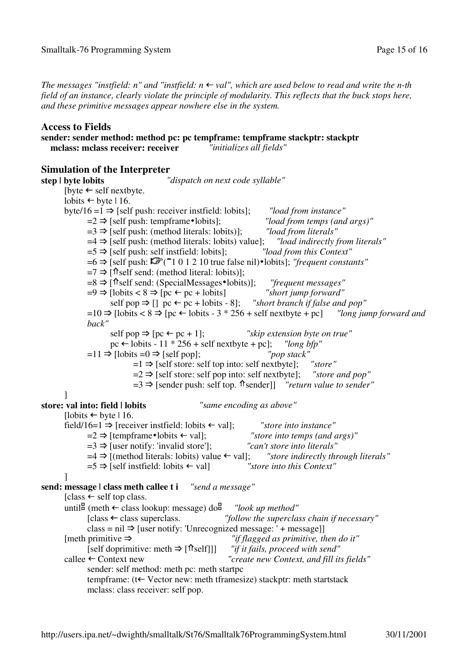The messages "instfield: n" and "instfield:  $n \leftarrow val$ ", which are used below to read and write the n-th field of an instance, clearly violate the principle of modularity. This reflects that the buck stops here, *and these primitive messages appear nowhere else in the system.*

### **Access to Fields**

**sender: sender method: method pc: pc tempframe: tempframe stackptr: stackptr mclass: mclass receiver: receiver** 

**Simulation of the Interpreter step | byte lobits** *"dispatch on next code syllable"* [byte  $\leftarrow$  self nextbyte. lobits  $\leftarrow$  byte | 16.  $b$   $\vee$   $e$   $16 = 1 \Rightarrow$  [self push: receiver instrield: lobits]; *"load from instance"*  $=2 \Rightarrow$  [self push: tempframe • lobits]; *"load from temps (and args)"*<br> $=3 \Rightarrow$  [self push: (method literals: lobits)]: *"load from literals"*  $=3 \implies$  [self push: (method literals: lobits)];  $=4 \Rightarrow$  [self push: (method literals: lobits) value]; *"load indirectly from literals"*  $=5 \implies$  [self push: self institeld: lobits]; *"load from this Context"*  $=6 \Rightarrow$  [self push:  $\vec{F}$  ( $= 101210$  true false nil) • lobits]; *"frequent constants"*  $=7 \Rightarrow$  [ $\hat{\text{?}}$ self send: (method literal: lobits)];  $=8 \Rightarrow$  [ $\hat{\text{t}}$ self send: (SpecialMessages \*lobits)]; *"frequent messages"*  $=9 \Rightarrow$  [lobits < 8  $\Rightarrow$  [pc  $\leftarrow$  pc + lobits] *"short jump forward"* self pop  $\Rightarrow$  [] pc ← pc + lobits - 8]; *"short branch if false and pop"*  $=10 \Rightarrow$  [lobits < 8  $\Rightarrow$  [pc  $\leftarrow$  lobits - 3  $*$  256 + self nextbyte + pc] *"long* jump forward and *back"*  $\text{self pop} \Rightarrow \text{fpc} \leftarrow \text{pc} + 1$ : *"skip extension byte on true"*  $pc \leftarrow$  lobits - 11  $*$  256 + self nextbyte + pc]; *"long bfp"*  $=11 \Rightarrow$  [lobits  $=0 \Rightarrow$  [self pop]; *"pop stack"*  $=1 \Rightarrow$  [self store: self top into: self nextbyte]; *"store"*  $=2 \implies$  [self store: self pop into: self nextbyte]; *"store and pop"*  $=3 \Rightarrow$  [sender push: self top.  $\hat{\pi}$  sender]] *"return value to sender"* ] **store: val into: field | lobits** *"same encoding as above"* [lobits  $\leftarrow$  byte | 16. field/16=1  $\Rightarrow$  [receiver instfield: lobits  $\leftarrow$  val]; *"store into instance"*  $=2 \Rightarrow$  [tempframe • lobits  $\leftarrow$  val]; *"store into temps (and args)"*<br> $=3 \Rightarrow$  [user notify: 'invalid store']; *"can't store into literals"*  $=3 \implies$  [user notify: 'invalid store'];  $=4 \Rightarrow$  [(method literals: lobits) value  $\leftarrow$  val]; *"store indirectly through literals"*  $=5 \Rightarrow$  [self institute]: lobits  $\leftarrow$  val] *"store into this Context"* ] **send: message | class meth callee t i** *"send a message"*  $[class \leftarrow self top class.$ until  $\mathbb{G}$  (meth  $\leftarrow$  class lookup: message) do  $\mathbb{G}$  *"look up method"*  $[class \leftarrow class$  superclass. *"follow the superclass chain if necessary"*  $class = nil \Rightarrow [user notify: 'Unrecognized message: ' + message]]$  $[$ meth primitive  $\Rightarrow$   $\qquad \qquad$  *"if flagged as primitive, then do it"*  $[self doprimitive: meth \Rightarrow [$ <sup> $\uparrow$ </sup> $self]]]$  *"if it fails, proceed with send"* callee Context new *"create new Context, and fill its fields"* sender: self method: meth pc: meth startpc tempframe: ( $t \leftarrow$  Vector new: meth tframesize) stackptr: meth startstack mclass: class receiver: self pop.